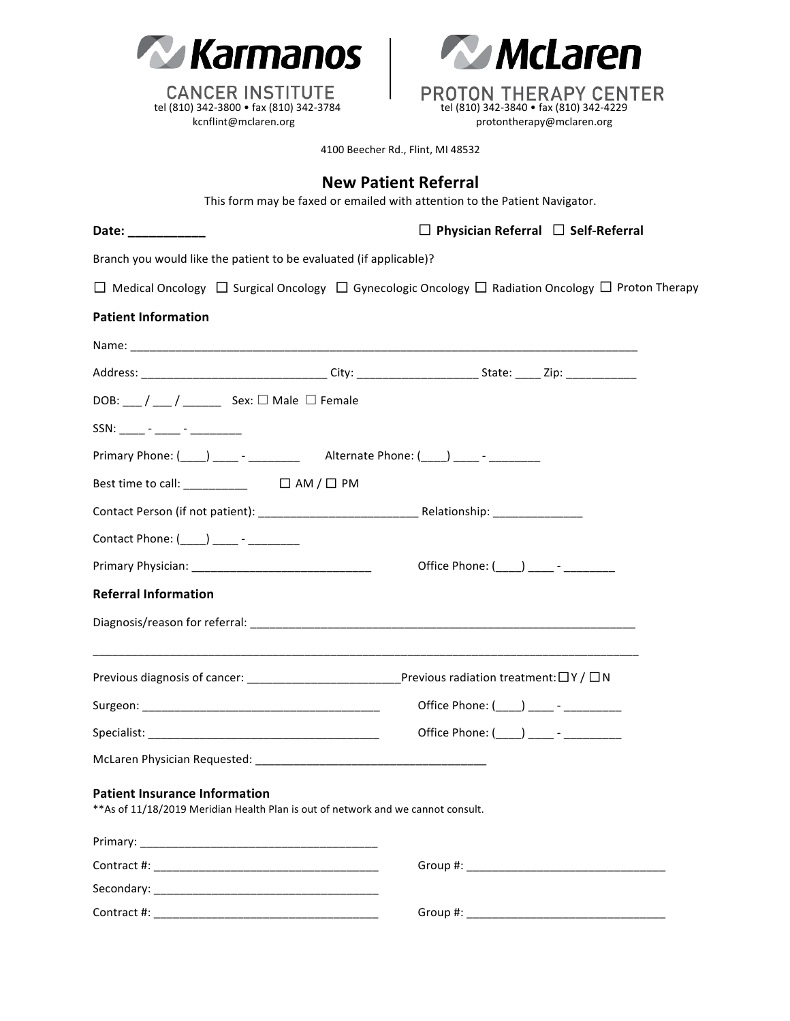



4100 Beecher Rd., Flint, MI 48532

|                                                                                                                           | <b>New Patient Referral</b><br>This form may be faxed or emailed with attention to the Patient Navigator. |
|---------------------------------------------------------------------------------------------------------------------------|-----------------------------------------------------------------------------------------------------------|
| Date: ___________                                                                                                         | $\Box$ Physician Referral $\Box$ Self-Referral                                                            |
| Branch you would like the patient to be evaluated (if applicable)?                                                        |                                                                                                           |
|                                                                                                                           | □ Medical Oncology □ Surgical Oncology □ Gynecologic Oncology □ Radiation Oncology □ Proton Therapy       |
| <b>Patient Information</b>                                                                                                |                                                                                                           |
|                                                                                                                           |                                                                                                           |
|                                                                                                                           |                                                                                                           |
| DOB: ___ / ___ / _________ Sex: $\Box$ Male $\Box$ Female                                                                 |                                                                                                           |
|                                                                                                                           |                                                                                                           |
|                                                                                                                           |                                                                                                           |
| Best time to call: __________ □ AM / □ PM                                                                                 |                                                                                                           |
|                                                                                                                           |                                                                                                           |
| Contact Phone: (____) ____ - ________                                                                                     |                                                                                                           |
|                                                                                                                           | Office Phone: (____) ____ - ________                                                                      |
| <b>Referral Information</b>                                                                                               |                                                                                                           |
|                                                                                                                           |                                                                                                           |
|                                                                                                                           |                                                                                                           |
|                                                                                                                           |                                                                                                           |
|                                                                                                                           | Office Phone: (____) ____ - _________                                                                     |
|                                                                                                                           |                                                                                                           |
| <b>Patient Insurance Information</b><br>** As of 11/18/2019 Meridian Health Plan is out of network and we cannot consult. |                                                                                                           |
|                                                                                                                           |                                                                                                           |
|                                                                                                                           |                                                                                                           |
|                                                                                                                           |                                                                                                           |
|                                                                                                                           |                                                                                                           |